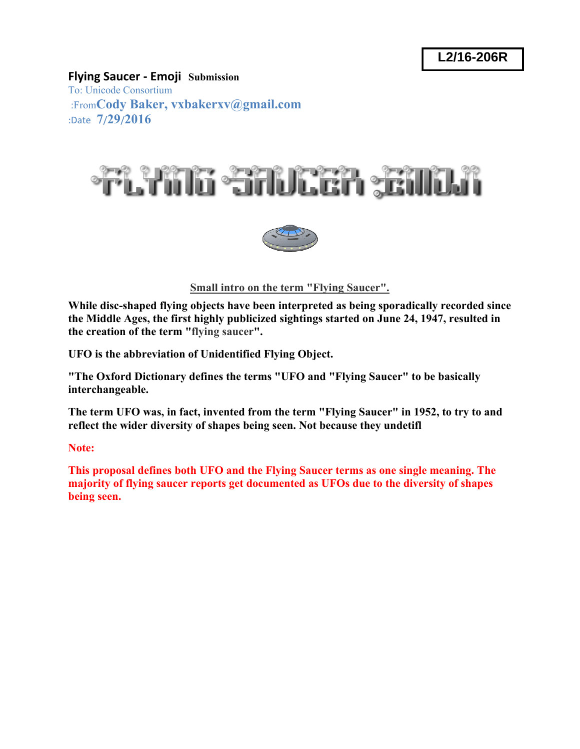### **Flying Saucer ‐ Emoji Submission**

To: Unicode Consortium :From**Cody Baker, vxbakerxv@gmail.com** :Date **7**/**29**/**2016** 





**Small intro on the term "Flying Saucer".**

**While disc-shaped flying objects have been interpreted as being sporadically recorded since the Middle Ages, the first highly publicized sightings started on June 24, 1947, resulted in the creation of the term "flying saucer".** 

**UFO is the abbreviation of Unidentified Flying Object.** 

**"The Oxford Dictionary defines the terms "UFO and "Flying Saucer" to be basically interchangeable.** 

**The term UFO was, in fact, invented from the term "Flying Saucer" in 1952, to try to and reflect the wider diversity of shapes being seen. Not because they undetifl** 

**Note:** 

**This proposal defines both UFO and the Flying Saucer terms as one single meaning. The majority of flying saucer reports get documented as UFOs due to the diversity of shapes being seen.**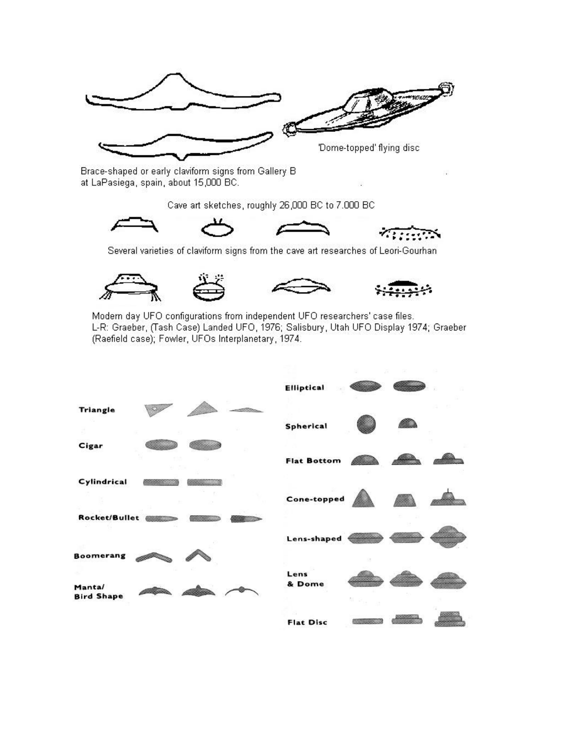

Brace-shaped or early claviform signs from Gallery B at LaPasiega, spain, about 15,000 BC.

Cave art sketches, roughly 26,000 BC to 7.000 BC



Several varieties of claviform signs from the cave art researches of Leori-Gourhan



Modern day UFO configurations from independent UFO researchers' case files. L-R: Graeber, (Tash Case) Landed UFO, 1976; Salisbury, Utah UFO Display 1974; Graeber (Raefield case); Fowler, UFOs Interplanetary, 1974.

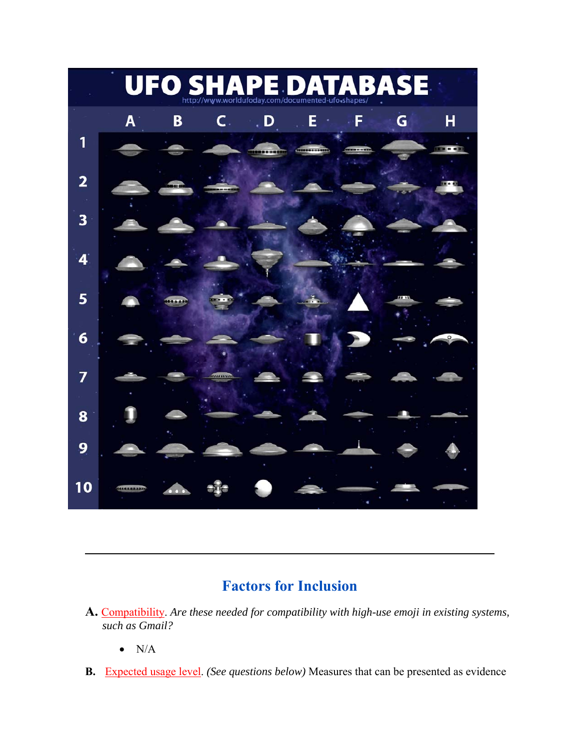

## **Factors for Inclusion**

**\_\_\_\_\_\_\_\_\_\_\_\_\_\_\_\_\_\_\_\_\_\_\_\_\_\_\_\_\_\_\_\_\_\_\_\_\_\_\_\_\_\_\_\_\_\_\_\_\_\_\_\_\_\_\_\_\_\_\_\_\_\_\_\_\_\_\_\_\_\_\_\_** 

- **A.** Compatibility. *Are these needed for compatibility with high-use emoji in existing systems, such as Gmail?*
	- $\bullet$  N/A
- **B.** Expected usage level. *(See questions below)* Measures that can be presented as evidence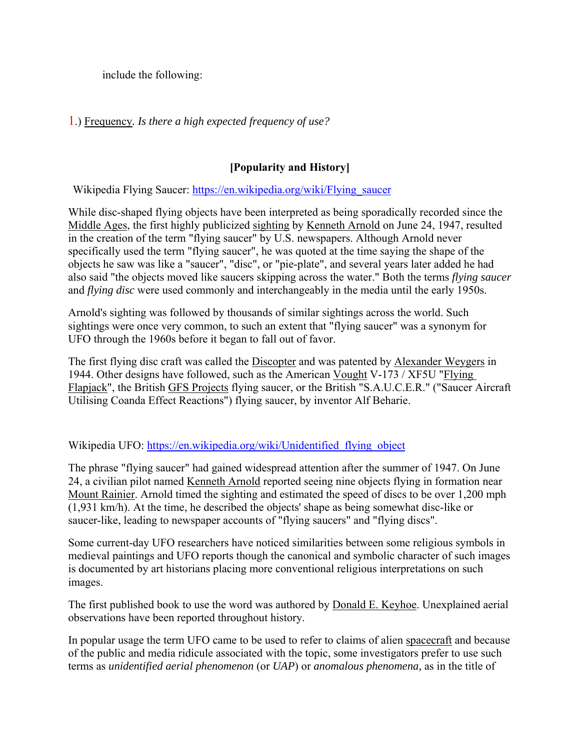include the following:

1.) Frequency*. Is there a high expected frequency of use?*

### **[Popularity and History]**

Wikipedia Flying Saucer: https://en.wikipedia.org/wiki/Flying\_saucer

While disc-shaped flying objects have been interpreted as being sporadically recorded since the Middle Ages, the first highly publicized sighting by Kenneth Arnold on June 24, 1947, resulted in the creation of the term "flying saucer" by U.S. newspapers. Although Arnold never specifically used the term "flying saucer", he was quoted at the time saying the shape of the objects he saw was like a "saucer", "disc", or "pie-plate", and several years later added he had also said "the objects moved like saucers skipping across the water." Both the terms *flying saucer* and *flying disc* were used commonly and interchangeably in the media until the early 1950s.

Arnold's sighting was followed by thousands of similar sightings across the world. Such sightings were once very common, to such an extent that "flying saucer" was a synonym for UFO through the 1960s before it began to fall out of favor.

The first flying disc craft was called the Discopter and was patented by Alexander Weygers in 1944. Other designs have followed, such as the American Vought V-173 / XF5U "Flying Flapjack", the British GFS Projects flying saucer, or the British "S.A.U.C.E.R." ("Saucer Aircraft Utilising Coanda Effect Reactions") flying saucer, by inventor Alf Beharie.

Wikipedia UFO: https://en.wikipedia.org/wiki/Unidentified\_flying\_object

The phrase "flying saucer" had gained widespread attention after the summer of 1947. On June 24, a civilian pilot named Kenneth Arnold reported seeing nine objects flying in formation near Mount Rainier. Arnold timed the sighting and estimated the speed of discs to be over 1,200 mph (1,931 km/h). At the time, he described the objects' shape as being somewhat disc-like or saucer-like, leading to newspaper accounts of "flying saucers" and "flying discs".

Some current-day UFO researchers have noticed similarities between some religious symbols in medieval paintings and UFO reports though the canonical and symbolic character of such images is documented by art historians placing more conventional religious interpretations on such images.

The first published book to use the word was authored by **Donald E. Keyhoe.** Unexplained aerial observations have been reported throughout history.

In popular usage the term UFO came to be used to refer to claims of alien spacecraft and because of the public and media ridicule associated with the topic, some investigators prefer to use such terms as *unidentified aerial phenomenon* (or *UAP*) or *anomalous phenomena,* as in the title of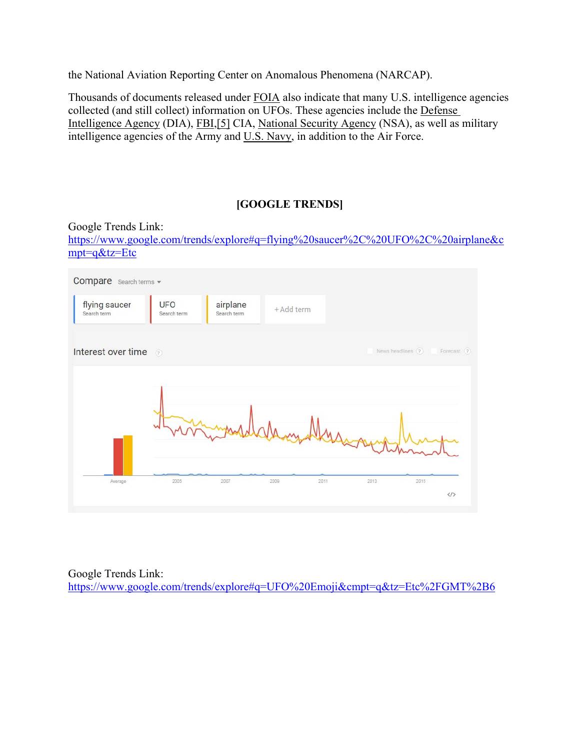the National Aviation Reporting Center on Anomalous Phenomena (NARCAP).

Thousands of documents released under FOIA also indicate that many U.S. intelligence agencies collected (and still collect) information on UFOs. These agencies include the Defense Intelligence Agency (DIA), FBI,[5] CIA, National Security Agency (NSA), as well as military intelligence agencies of the Army and U.S. Navy, in addition to the Air Force.

### **[GOOGLE TRENDS]**

Google Trends Link: https://www.google.com/trends/explore#q=flying%20saucer%2C%20UFO%2C%20airplane&c mpt=q&tz=Etc



Google Trends Link: https://www.google.com/trends/explore#q=UFO%20Emoji&cmpt=q&tz=Etc%2FGMT%2B6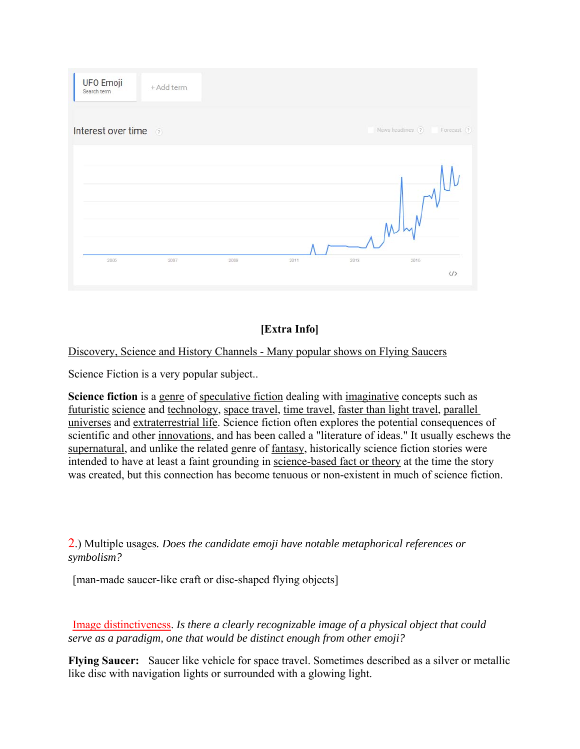

### **[Extra Info]**

### Discovery, Science and History Channels - Many popular shows on Flying Saucers

Science Fiction is a very popular subject..

**Science fiction** is a genre of speculative fiction dealing with imaginative concepts such as futuristic science and technology, space travel, time travel, faster than light travel, parallel universes and extraterrestrial life. Science fiction often explores the potential consequences of scientific and other innovations, and has been called a "literature of ideas." It usually eschews the supernatural, and unlike the related genre of fantasy, historically science fiction stories were intended to have at least a faint grounding in science-based fact or theory at the time the story was created, but this connection has become tenuous or non-existent in much of science fiction.

2.) Multiple usages*. Does the candidate emoji have notable metaphorical references or symbolism?*

[man-made saucer-like craft or disc-shaped flying objects]

 Image distinctiveness. *Is there a clearly recognizable image of a physical object that could serve as a paradigm, one that would be distinct enough from other emoji?*

**Flying Saucer:** Saucer like vehicle for space travel. Sometimes described as a silver or metallic like disc with navigation lights or surrounded with a glowing light.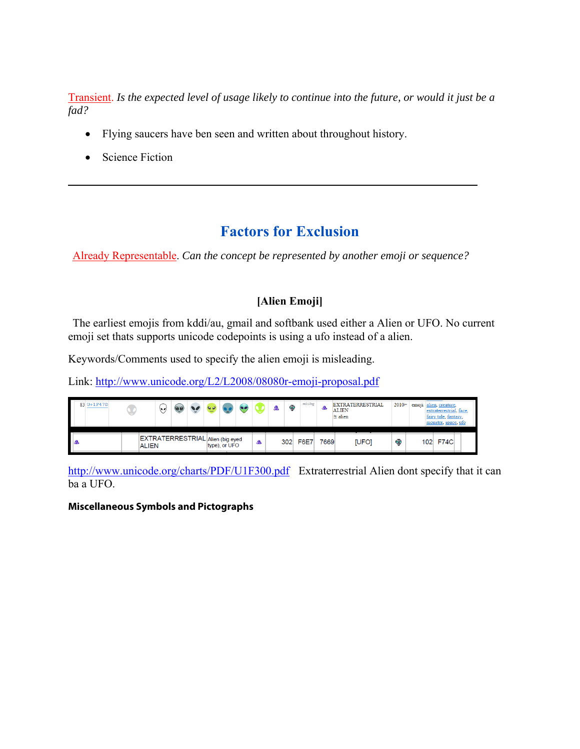Transient. *Is the expected level of usage likely to continue into the future, or would it just be a fad?*

- Flying saucers have ben seen and written about throughout history.
- Science Fiction

### **Factors for Exclusion**

Already Representable. *Can the concept be represented by another emoji or sequence?*

**\_\_\_\_\_\_\_\_\_\_\_\_\_\_\_\_\_\_\_\_\_\_\_\_\_\_\_\_\_\_\_\_\_\_\_\_\_\_\_\_\_\_\_\_\_\_\_\_\_\_\_\_\_\_\_\_\_\_\_\_\_\_\_\_\_\_\_\_\_\_\_\_**

### **[Alien Emoji]**

 The earliest emojis from kddi/au, gmail and softbank used either a Alien or UFO. No current emoji set thats supports unicode codepoints is using a ufo instead of a alien.

Keywords/Comments used to specify the alien emoji is misleading.

Link: http://www.unicode.org/L2/L2008/08080r-emoji-proposal.pdf

| 83 U+1F47D |              | ۱.,                              | ٠ |  |               |                         | 6ò  | missing | æ    | <b>EXTRATERRESTRIAL</b><br><b>ALIEN</b><br>$\approx$ alien | 2010im | emoji alien, creature,<br>extraterrestrial, face,<br>fairy tale, fantasy,<br>monster, space, ufo |  |
|------------|--------------|----------------------------------|---|--|---------------|-------------------------|-----|---------|------|------------------------------------------------------------|--------|--------------------------------------------------------------------------------------------------|--|
| A          | <b>ALIEN</b> | EXTRATERRESTRIAL Alien (big eyed |   |  | type), or UFO | $\overline{\mathbf{a}}$ | 302 | F6E7    | 7669 | <b>IUFOI</b>                                               | ¢      | 102 F74C                                                                                         |  |

http://www.unicode.org/charts/PDF/U1F300.pdf Extraterrestrial Alien dont specify that it can ba a UFO.

#### **Miscellaneous Symbols and Pictographs**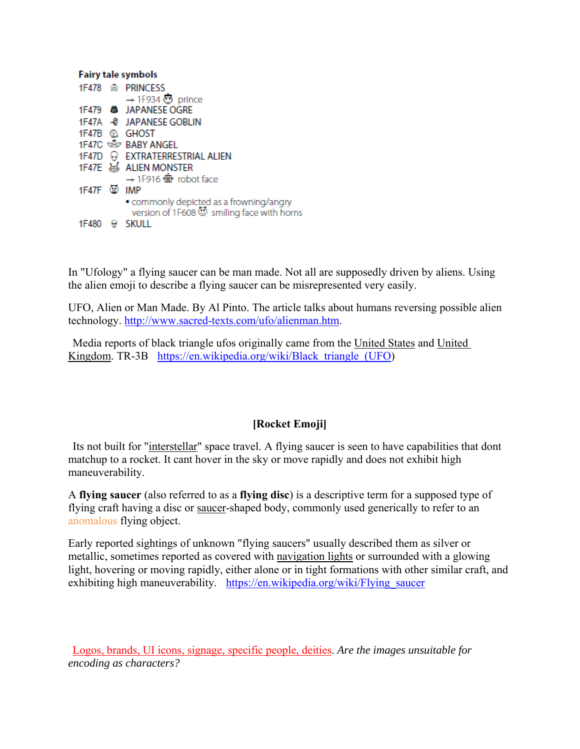| <b>Fairy tale symbols</b> |  |                                                                                      |  |  |  |
|---------------------------|--|--------------------------------------------------------------------------------------|--|--|--|
|                           |  | 1F478 & PRINCESS                                                                     |  |  |  |
|                           |  | → 1F934 $\bullet$ prince                                                             |  |  |  |
|                           |  | 1F479 <b>&amp;</b> JAPANESE OGRE                                                     |  |  |  |
|                           |  | 1F47A $\oplus$ JAPANESE GOBLIN                                                       |  |  |  |
|                           |  | 1F47B <sup>3</sup> GHOST                                                             |  |  |  |
|                           |  | 1F47C <b> </b> PABY ANGEL                                                            |  |  |  |
|                           |  | 1F47D O EXTRATERRESTRIAL ALIEN                                                       |  |  |  |
|                           |  | 1F47E & ALIEN MONSTER                                                                |  |  |  |
|                           |  | → 1F916 <del><i><b>e</b></i></del> robot face                                        |  |  |  |
| 1F47F 2 IMP               |  |                                                                                      |  |  |  |
|                           |  | • commonly depicted as a frowning/angry<br>version of 1F608 Smilling face with horns |  |  |  |
| 1F480                     |  | SKULI I                                                                              |  |  |  |

In "Ufology" a flying saucer can be man made. Not all are supposedly driven by aliens. Using the alien emoji to describe a flying saucer can be misrepresented very easily.

UFO, Alien or Man Made. By Al Pinto. The article talks about humans reversing possible alien technology. http://www.sacred-texts.com/ufo/alienman.htm.

 Media reports of black triangle ufos originally came from the United States and United Kingdom. TR-3B https://en.wikipedia.org/wiki/Black triangle (UFO)

### **[Rocket Emoji]**

 Its not built for "interstellar" space travel. A flying saucer is seen to have capabilities that dont matchup to a rocket. It cant hover in the sky or move rapidly and does not exhibit high maneuverability.

A **flying saucer** (also referred to as a **flying disc**) is a descriptive term for a supposed type of flying craft having a disc or saucer-shaped body, commonly used generically to refer to an anomalous flying object.

Early reported sightings of unknown "flying saucers" usually described them as silver or metallic, sometimes reported as covered with navigation lights or surrounded with a glowing light, hovering or moving rapidly, either alone or in tight formations with other similar craft, and exhibiting high maneuverability. https://en.wikipedia.org/wiki/Flying saucer

Logos, brands, UI icons, signage, specific people, deities. *Are the images unsuitable for encoding as characters?*